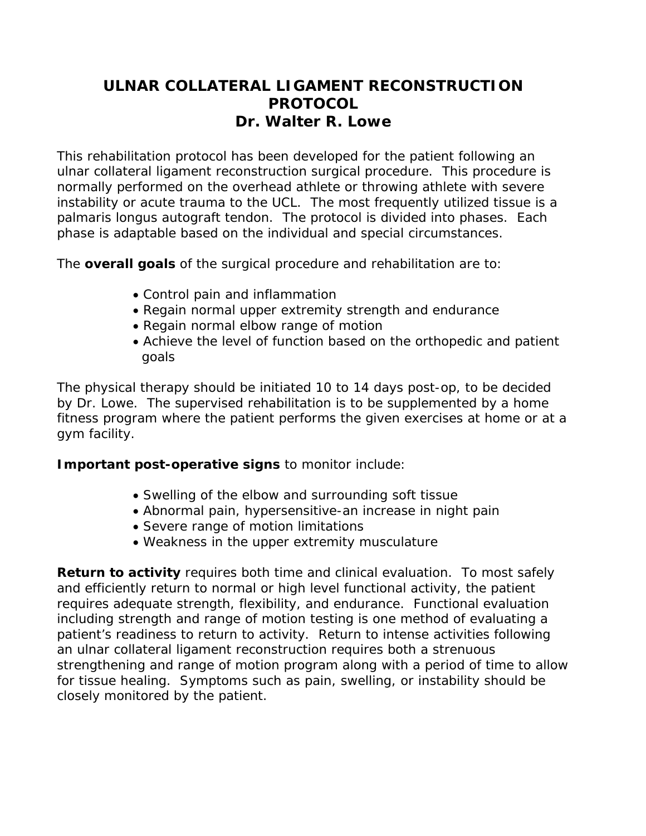# **ULNAR COLLATERAL LIGAMENT RECONSTRUCTION PROTOCOL Dr. Walter R. Lowe**

This rehabilitation protocol has been developed for the patient following an ulnar collateral ligament reconstruction surgical procedure. This procedure is normally performed on the overhead athlete or throwing athlete with severe instability or acute trauma to the UCL. The most frequently utilized tissue is a palmaris longus autograft tendon. The protocol is divided into phases. Each phase is adaptable based on the individual and special circumstances.

The **overall goals** of the surgical procedure and rehabilitation are to:

- Control pain and inflammation
- Regain normal upper extremity strength and endurance
- Regain normal elbow range of motion
- Achieve the level of function based on the orthopedic and patient goals

The physical therapy should be initiated 10 to 14 days post-op, to be decided by Dr. Lowe. The supervised rehabilitation is to be supplemented by a home fitness program where the patient performs the given exercises at home or at a gym facility.

# **Important post-operative signs** to monitor include:

- Swelling of the elbow and surrounding soft tissue
- Abnormal pain, hypersensitive-an increase in night pain
- Severe range of motion limitations
- Weakness in the upper extremity musculature

**Return to activity** requires both time and clinical evaluation. To most safely and efficiently return to normal or high level functional activity, the patient requires adequate strength, flexibility, and endurance. Functional evaluation including strength and range of motion testing is one method of evaluating a patient's readiness to return to activity. Return to intense activities following an ulnar collateral ligament reconstruction requires both a strenuous strengthening and range of motion program along with a period of time to allow for tissue healing. Symptoms such as pain, swelling, or instability should be closely monitored by the patient.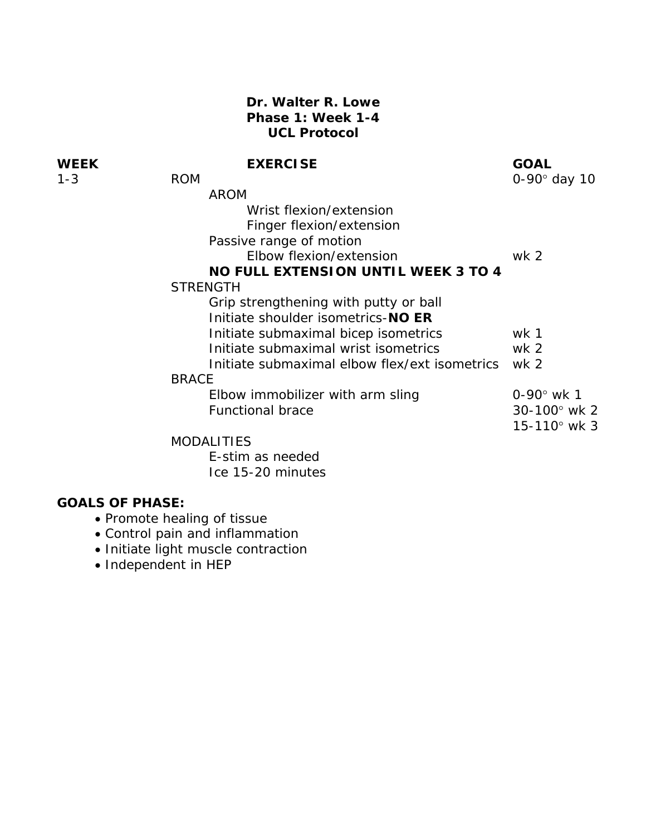## **Dr. Walter R. Lowe Phase 1: Week 1-4 UCL Protocol**

# **WEEK EXERCISE EXERCISE GOAL**<br>1.2 DOM

| $1 - 3$ | <b>ROM</b>                                    | 0-90° day 10            |
|---------|-----------------------------------------------|-------------------------|
|         | <b>AROM</b>                                   |                         |
|         | Wrist flexion/extension                       |                         |
|         | Finger flexion/extension                      |                         |
|         | Passive range of motion                       |                         |
|         | Elbow flexion/extension                       | wk <sub>2</sub>         |
|         | <b>NO FULL EXTENSION UNTIL WEEK 3 TO 4</b>    |                         |
|         | <b>STRENGTH</b>                               |                         |
|         | Grip strengthening with putty or ball         |                         |
|         | Initiate shoulder isometrics-NO ER            |                         |
|         | Initiate submaximal bicep isometrics          | wk 1                    |
|         | Initiate submaximal wrist isometrics          | wk 2                    |
|         | Initiate submaximal elbow flex/ext isometrics | wk <sub>2</sub>         |
|         | <b>BRACE</b>                                  |                         |
|         | Elbow immobilizer with arm sling              | $0 - 90^{\circ}$ wk 1   |
|         | <b>Functional brace</b>                       | $30 - 100^{\circ}$ wk 2 |
|         |                                               | $15 - 110^{\circ}$ wk 3 |
|         | <b>MODALITIES</b>                             |                         |

 E-stim as needed Ice 15-20 minutes

- Promote healing of tissue
- Control pain and inflammation
- Initiate light muscle contraction
- Independent in HEP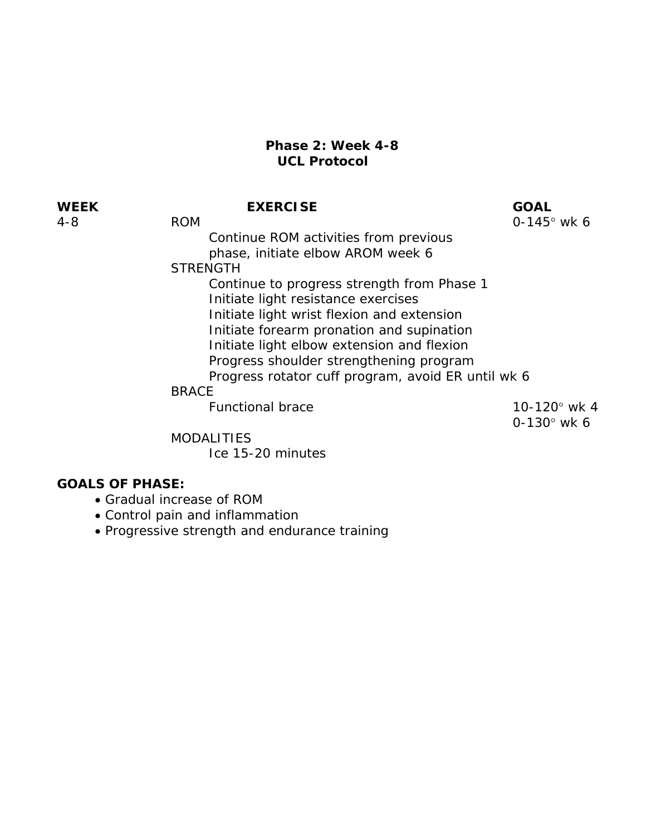### **Phase 2: Week 4-8 UCL Protocol**

**WEEK EXERCISE GOAL** 

4-8 ROM 0-145° wk 6

 Continue ROM activities from previous phase, initiate elbow AROM week 6

**STRENGTH** 

 Continue to progress strength from Phase 1 Initiate light resistance exercises Initiate light wrist flexion and extension Initiate forearm pronation and supination Initiate light elbow extension and flexion Progress shoulder strengthening program Progress rotator cuff program, avoid ER until wk 6

### BRACE

Functional brace 10-120° wk 4

0-130° wk 6

MODALITIES

Ice 15-20 minutes

- Gradual increase of ROM
- Control pain and inflammation
- Progressive strength and endurance training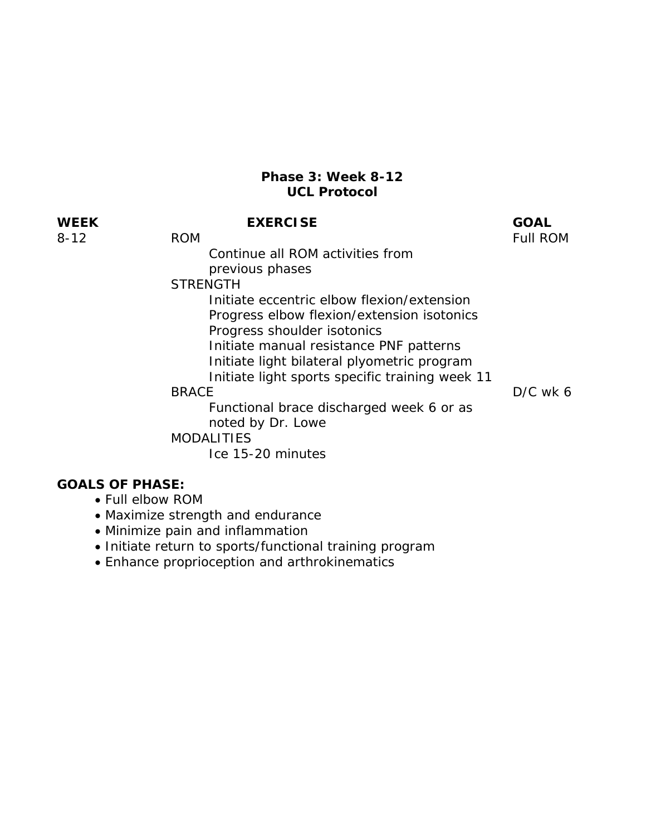#### **Phase 3: Week 8-12 UCL Protocol**

# **WEEK EXERCISE GOAL**

8-12 ROM ROM ROM

 Continue all ROM activities from previous phases

**STRENGTH** 

 Initiate eccentric elbow flexion/extension Progress elbow flexion/extension isotonics Progress shoulder isotonics Initiate manual resistance PNF patterns Initiate light bilateral plyometric program

Initiate light sports specific training week 11

 Functional brace discharged week 6 or as noted by Dr. Lowe

BRACE D/C wk 6

MODALITIES

Ice 15-20 minutes

- Full elbow ROM
- Maximize strength and endurance
- Minimize pain and inflammation
- Initiate return to sports/functional training program
- Enhance proprioception and arthrokinematics